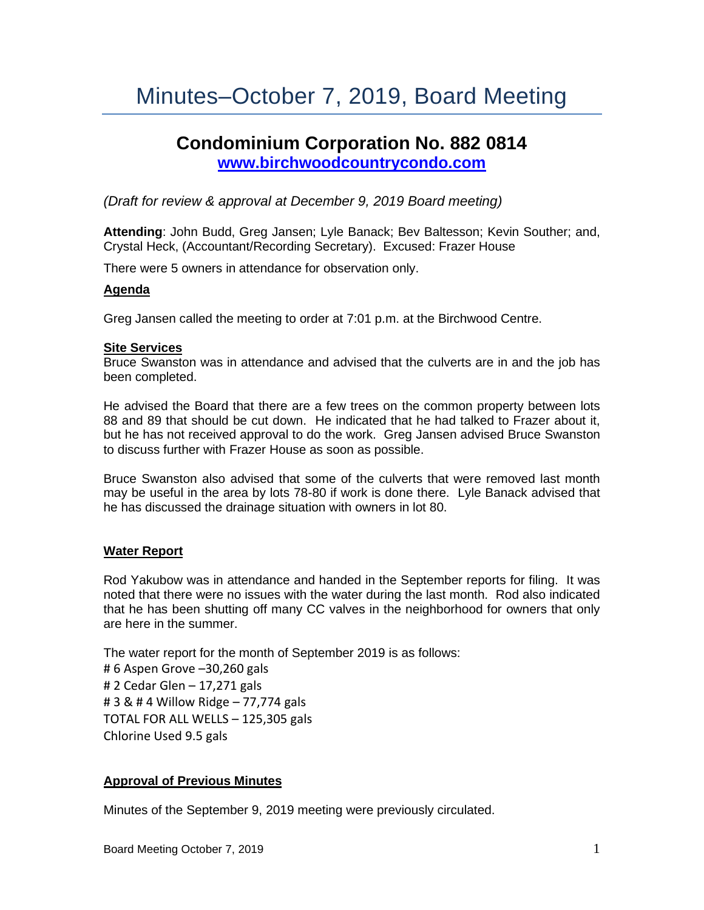# Minutes–October 7, 2019, Board Meeting

# **Condominium Corporation No. 882 0814 [www.birchwoodcountrycondo.com](http://www.birchwoodcountrycondo.com/)**

*(Draft for review & approval at December 9, 2019 Board meeting)*

**Attending**: John Budd, Greg Jansen; Lyle Banack; Bev Baltesson; Kevin Souther; and, Crystal Heck, (Accountant/Recording Secretary). Excused: Frazer House

There were 5 owners in attendance for observation only.

#### **Agenda**

Greg Jansen called the meeting to order at 7:01 p.m. at the Birchwood Centre.

#### **Site Services**

Bruce Swanston was in attendance and advised that the culverts are in and the job has been completed.

He advised the Board that there are a few trees on the common property between lots 88 and 89 that should be cut down. He indicated that he had talked to Frazer about it, but he has not received approval to do the work. Greg Jansen advised Bruce Swanston to discuss further with Frazer House as soon as possible.

Bruce Swanston also advised that some of the culverts that were removed last month may be useful in the area by lots 78-80 if work is done there. Lyle Banack advised that he has discussed the drainage situation with owners in lot 80.

#### **Water Report**

Rod Yakubow was in attendance and handed in the September reports for filing. It was noted that there were no issues with the water during the last month. Rod also indicated that he has been shutting off many CC valves in the neighborhood for owners that only are here in the summer.

The water report for the month of September 2019 is as follows: # 6 Aspen Grove –30,260 gals # 2 Cedar Glen – 17,271 gals # 3 & # 4 Willow Ridge – 77,774 gals TOTAL FOR ALL WELLS – 125,305 gals Chlorine Used 9.5 gals

#### **Approval of Previous Minutes**

Minutes of the September 9, 2019 meeting were previously circulated.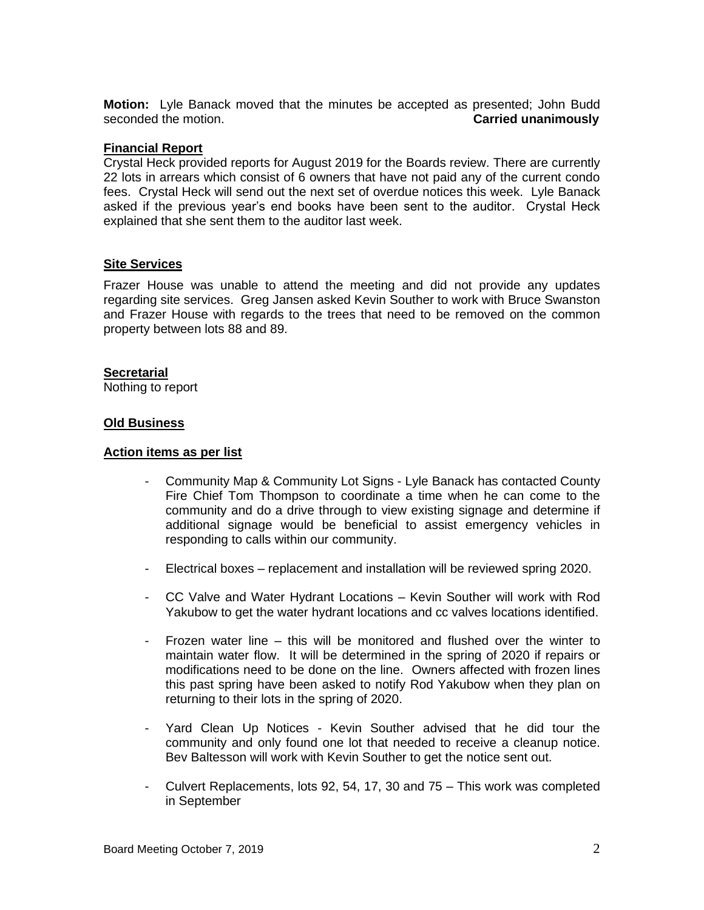**Motion:** Lyle Banack moved that the minutes be accepted as presented; John Budd seconded the motion. **Carried unanimously**

### **Financial Report**

Crystal Heck provided reports for August 2019 for the Boards review. There are currently 22 lots in arrears which consist of 6 owners that have not paid any of the current condo fees. Crystal Heck will send out the next set of overdue notices this week. Lyle Banack asked if the previous year's end books have been sent to the auditor. Crystal Heck explained that she sent them to the auditor last week.

## **Site Services**

Frazer House was unable to attend the meeting and did not provide any updates regarding site services. Greg Jansen asked Kevin Souther to work with Bruce Swanston and Frazer House with regards to the trees that need to be removed on the common property between lots 88 and 89.

#### **Secretarial**

Nothing to report

#### **Old Business**

#### **Action items as per list**

- Community Map & Community Lot Signs Lyle Banack has contacted County Fire Chief Tom Thompson to coordinate a time when he can come to the community and do a drive through to view existing signage and determine if additional signage would be beneficial to assist emergency vehicles in responding to calls within our community.
- Electrical boxes replacement and installation will be reviewed spring 2020.
- CC Valve and Water Hydrant Locations Kevin Souther will work with Rod Yakubow to get the water hydrant locations and cc valves locations identified.
- Frozen water line this will be monitored and flushed over the winter to maintain water flow. It will be determined in the spring of 2020 if repairs or modifications need to be done on the line. Owners affected with frozen lines this past spring have been asked to notify Rod Yakubow when they plan on returning to their lots in the spring of 2020.
- Yard Clean Up Notices Kevin Souther advised that he did tour the community and only found one lot that needed to receive a cleanup notice. Bev Baltesson will work with Kevin Souther to get the notice sent out.
- Culvert Replacements, lots 92, 54, 17, 30 and 75 This work was completed in September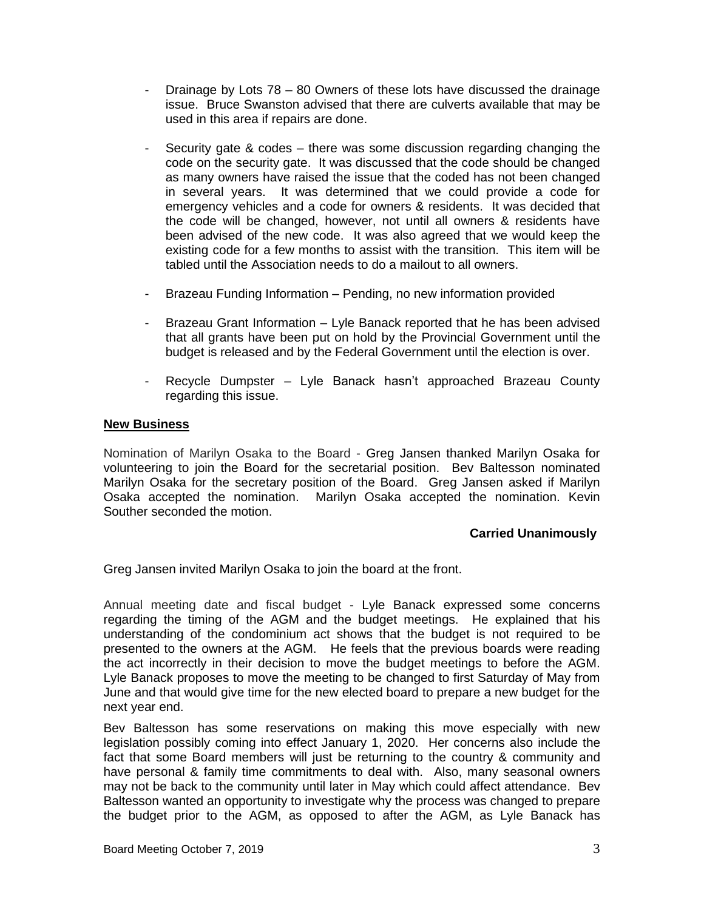- Drainage by Lots 78 80 Owners of these lots have discussed the drainage issue. Bruce Swanston advised that there are culverts available that may be used in this area if repairs are done.
- Security gate & codes there was some discussion regarding changing the code on the security gate. It was discussed that the code should be changed as many owners have raised the issue that the coded has not been changed in several years. It was determined that we could provide a code for emergency vehicles and a code for owners & residents. It was decided that the code will be changed, however, not until all owners & residents have been advised of the new code. It was also agreed that we would keep the existing code for a few months to assist with the transition. This item will be tabled until the Association needs to do a mailout to all owners.
- Brazeau Funding Information Pending, no new information provided
- Brazeau Grant Information Lyle Banack reported that he has been advised that all grants have been put on hold by the Provincial Government until the budget is released and by the Federal Government until the election is over.
- Recycle Dumpster Lyle Banack hasn't approached Brazeau County regarding this issue.

#### **New Business**

Nomination of Marilyn Osaka to the Board - Greg Jansen thanked Marilyn Osaka for volunteering to join the Board for the secretarial position. Bev Baltesson nominated Marilyn Osaka for the secretary position of the Board. Greg Jansen asked if Marilyn Osaka accepted the nomination. Marilyn Osaka accepted the nomination. Kevin Souther seconded the motion.

#### **Carried Unanimously**

Greg Jansen invited Marilyn Osaka to join the board at the front.

Annual meeting date and fiscal budget - Lyle Banack expressed some concerns regarding the timing of the AGM and the budget meetings. He explained that his understanding of the condominium act shows that the budget is not required to be presented to the owners at the AGM. He feels that the previous boards were reading the act incorrectly in their decision to move the budget meetings to before the AGM. Lyle Banack proposes to move the meeting to be changed to first Saturday of May from June and that would give time for the new elected board to prepare a new budget for the next year end.

Bev Baltesson has some reservations on making this move especially with new legislation possibly coming into effect January 1, 2020. Her concerns also include the fact that some Board members will just be returning to the country & community and have personal & family time commitments to deal with. Also, many seasonal owners may not be back to the community until later in May which could affect attendance. Bev Baltesson wanted an opportunity to investigate why the process was changed to prepare the budget prior to the AGM, as opposed to after the AGM, as Lyle Banack has